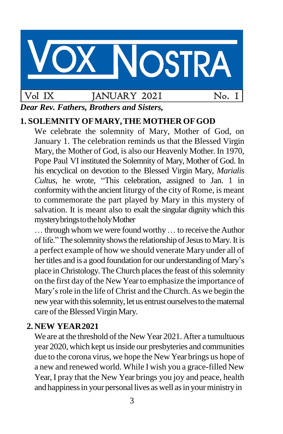# **OSTRA** Vol IX JANUARY 2021 No. 1

*Dear Rev. Fathers, Brothers and Sisters,*

# **1. SOLEMNITYOFMARY,THE MOTHER OFGOD**

We celebrate the solemnity of Mary, Mother of God, on January 1. The celebration reminds us that the Blessed Virgin Mary, the Mother of God, is also our Heavenly Mother. In 1970, Pope Paul VI instituted the Solemnity of Mary, Mother of God. In his encyclical on devotion to the Blessed Virgin Mary, *Marialis Cultus*, he wrote, "This celebration, assigned to Jan. 1 in conformitywith the ancient liturgy of the city of Rome, is meant to commemorate the part played by Mary in this mystery of salvation. It is meant also to exalt the singular dignity which this mysterybringstotheholyMother

... through whom we were found worthy ... to receive the Author of life." The solemnity shows the relationship of Jesus to Mary. It is a perfect example of how we should venerate Mary under all of her titles and is a good foundation for our understanding of Mary's place in Christology. The Church places the feast of this solemnity on the first day of the New Yearto emphasize the importance of Mary's role in the life of Christ and the Church. As we begin the new year with this solemnity, let us entrust ourselves to the maternal care of the Blessed Virgin Mary.

#### **2. NEW YEAR2021**

We are at the threshold of the New Year 2021. After a tumultuous year 2020, which kept us inside our presbyteries and communities due to the corona virus, we hope the New Year brings us hope of a new and renewed world. While I wish you a grace-filled New Year, I pray that the New Year brings you joy and peace, health and happiness in your personal lives as well as in your ministry in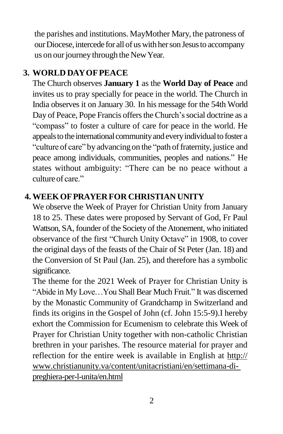the parishes and institutions. MayMother Mary, the patroness of our Diocese, intercede for all of us with her son Jesus to accompany us on our journey through the New Year.

### **3. WORLD DAYOFPEACE**

The Church observes **January 1** as the **World Day of Peace** and invites us to pray specially for peace in the world. The Church in India observes it on January 30. In his message for the 54th World Day of Peace, Pope Francis offers the Church's social doctrine as a "compass" to foster a culture of care for peace in the world. He appeals to the international community and every individual to foster a "culture of care" by advancing on the "path of fraternity, justice and peace among individuals, communities, peoples and nations." He states without ambiguity: "There can be no peace without a culture of care."

#### **4. WEEKOFPRAYERFOR CHRISTIAN UNITY**

We observe the Week of Prayer for Christian Unity from January 18 to 25. These dates were proposed by Servant of God, Fr Paul Wattson, SA, founder of the Society of the Atonement, who initiated observance of the first "Church Unity Octave" in 1908, to cover the original days of the feasts of the Chair of St Peter (Jan. 18) and the Conversion of St Paul (Jan. 25), and therefore has a symbolic significance.

The theme for the 2021 Week of Prayer for Christian Unity is "Abide in My Love…You Shall Bear Much Fruit." It was discerned by the Monastic Community of Grandchamp in Switzerland and finds its origins in the Gospel of John (cf. John 15:5-9).I hereby exhort the Commission for Ecumenism to celebrate this Week of Prayer for Christian Unity together with non-catholic Christian brethren in your parishes. The resource material for prayer and reflection for the entire week is available in English at http:// [www.christianunity.va/content/unitacristiani/en/settimana-di](http://www.christianunity.va/content/unitacristiani/en/settimana-di-)preghiera-per-l-unita/en.html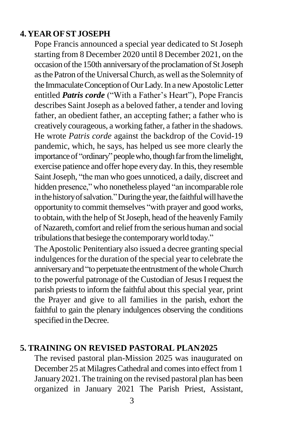#### **4.YEAROFSTJOSEPH**

Pope Francis announced a special year dedicated to St Joseph starting from 8 December 2020 until 8 December 2021, on the occasion of the 150th anniversary of the proclamation of St Joseph as the Patron of the Universal Church, as well as the Solemnity of the Immaculate Conception of Our Lady. In a new Apostolic Letter entitled *Patris corde* ("With a Father's Heart"), Pope Francis describes Saint Joseph as a beloved father, a tender and loving father, an obedient father, an accepting father; a father who is creatively courageous, a working father, a fatherin the shadows. He wrote *Patris corde* against the backdrop of the Covid-19 pandemic, which, he says, has helped us see more clearly the importance of "ordinary" people who, though far from the limelight, exercise patience and offer hope every day.In this, they resemble Saint Joseph, "the man who goes unnoticed, a daily, discreet and hidden presence," who nonetheless played "an incomparable role in the history of salvation." During the year, the faithful will have the opportunity to commit themselves "with prayer and good works, to obtain, with the help of StJoseph, head of the heavenly Family of Nazareth, comfort and relieffromthe serious human and social tribulations that besiege the contemporary world today."

The Apostolic Penitentiary also issued a decree granting special indulgences for the duration of the special year to celebrate the anniversary and "to perpetuate the entrustment of the whole Church to the powerful patronage of the Custodian of JesusI request the parish priests to inform the faithful about this special year, print the Prayer and give to all families in the parish, exhort the faithful to gain the plenary indulgences observing the conditions specified in the Decree.

#### **5. TRAINING ON REVISED PASTORAL PLAN2025**

The revised pastoral plan-Mission 2025 was inaugurated on December 25 at Milagres Cathedral and comes into effect from 1 January 2021. The training on the revised pastoral plan has been organized in January 2021 The Parish Priest, Assistant,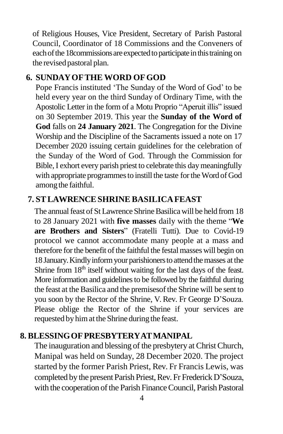of Religious Houses, Vice President, Secretary of Parish Pastoral Council, Coordinator of 18 Commissions and the Conveners of each of the 18 commissions are expected to participate in this training on the revised pastoral plan.

#### **6. SUNDAYOFTHE WORD OFGOD**

Pope Francis instituted 'The Sunday of the Word of God' to be held every year on the third Sunday of Ordinary Time, with the Apostolic Letter in the form of a Motu Proprio "Aperuit illis" issued on 30 September 2019. This year the **Sunday of the Word of God** falls on **24 January 2021**. The Congregation for the Divine Worship and the Discipline of the Sacraments issued a note on 17 December 2020 issuing certain guidelines for the celebration of the Sunday of the Word of God. Through the Commission for Bible,I exhort every parish priest to celebrate this daymeaningfully with appropriate programmes to instill the taste for the Word of God among the faithful.

# **7. STLAWRENCESHRINE BASILICAFEAST**

The annual feast of St Lawrence Shrine Basilica will be held from 18 to 28 January 2021 with **five masses** daily with the theme "**We are Brothers and Sisters**" (Fratelli Tutti). Due to Covid-19 protocol we cannot accommodate many people at a mass and therefore for the benefit of the faithful the festal masses will begin on 18 January. Kindly inform your parishioners to attend the masses at the Shrine from  $18<sup>th</sup>$  itself without waiting for the last days of the feast. More information and guidelines to be followed by the faithful during the feast at the Basilica and the premises of the Shrine will be sent to you soon by the Rector of the Shrine, V. Rev. Fr George D'Souza. Please oblige the Rector of the Shrine if your services are requested by him at the Shrine during the feast.

#### **8. BLESSINGOFPRESBYTERYATMANIPAL**

The inauguration and blessing of the presbytery at ChristChurch, Manipal was held on Sunday, 28 December 2020. The project started by the former Parish Priest, Rev. Fr Francis Lewis, was completed by the present Parish Priest, Rev. Fr Frederick D'Souza, with the cooperation of the Parish Finance Council, Parish Pastoral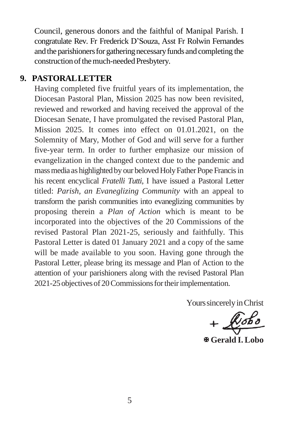Council, generous donors and the faithful of Manipal Parish. I congratulate Rev. Fr Frederick D'Souza, Asst Fr Rolwin Fernandes and the parishioners for gathering necessary funds and completing the construction of the much-needed Presbytery.

#### **9. PASTORALLETTER**

Having completed five fruitful years of its implementation, the Diocesan Pastoral Plan, Mission 2025 has now been revisited, reviewed and reworked and having received the approval of the Diocesan Senate, I have promulgated the revised Pastoral Plan, Mission 2025. It comes into effect on 01.01.2021, on the Solemnity of Mary, Mother of God and will serve for a further five-year term. In order to further emphasize our mission of evangelization in the changed context due to the pandemic and mass media as highlighted by our beloved Holy Father Pope Francis in his recent encyclical *Fratelli Tutti*, I have issued a Pastoral Letter titled: *Parish, an Evaneglizing Community* with an appeal to transform the parish communities into evaneglizing communities by proposing therein a *Plan of Action* which is meant to be incorporated into the objectives of the 20 Commissions of the revised Pastoral Plan 2021-25, seriously and faithfully. This Pastoral Letter is dated 01 January 2021 and a copy of the same will be made available to you soon. Having gone through the Pastoral Letter, please bring its message and Plan of Action to the attention of your parishioners along with the revised Pastoral Plan 2021-25 objectives of 20 Commissions for their implementation.

Yours sincerely in Christ

**Gerald I.Lobo**